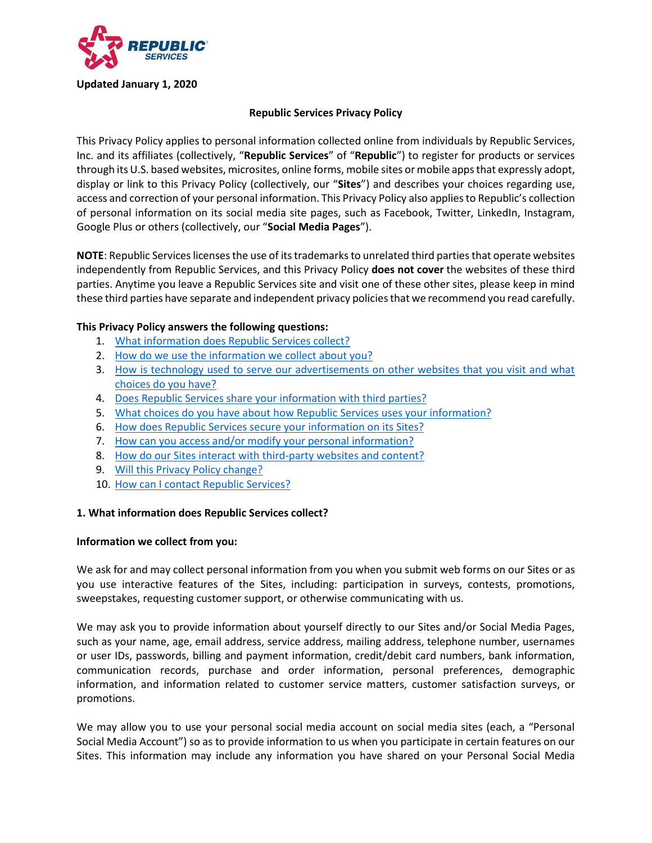

#### **Republic Services Privacy Policy**

<span id="page-0-1"></span>This Privacy Policy applies to personal information collected online from individuals by Republic Services, Inc. and its affiliates (collectively, "**Republic Services**" of "**Republic**") to register for products or services through its U.S. based websites, microsites, online forms, mobile sites or mobile apps that expressly adopt, display or link to this Privacy Policy (collectively, our "**Sites**") and describes your choices regarding use, access and correction of your personal information. This Privacy Policy also applies to Republic's collection of personal information on its social media site pages, such as Facebook, Twitter, LinkedIn, Instagram, Google Plus or others (collectively, our "**Social Media Pages**").

**NOTE**: Republic Services licenses the use of its trademarks to unrelated third parties that operate websites independently from Republic Services, and this Privacy Policy **does not cover** the websites of these third parties. Anytime you leave a Republic Services site and visit one of these other sites, please keep in mind these third parties have separate and independent privacy policies that we recommend you read carefully.

#### **This Privacy Policy answers the following questions:**

- 1. [What information does Republic Services collect?](#page-0-0)
- 2. [How do we use the information we collect about you?](#page-2-0)
- 3. [How is technology used to serve our advertisements on other websites that you visit and what](#page-3-0)  [choices do you have?](#page-3-0)
- 4. [Does Republic Services share your information with third parties?](#page-4-0)
- 5. What choices do you have about [how Republic Services uses your information?](#page-4-1)
- 6. [How does Republic Services secure your information on its Sites?](#page-5-0)
- 7. How can you [access and/or modify your](#page-5-1) personal information?
- 8. [How do our Sites interact with third-party websites and content?](#page-5-2)
- 9. [Will this Privacy Policy change?](#page-5-3)
- 10. [How can I contact Republic Services?](#page-5-4)

#### <span id="page-0-0"></span>**1. What information does Republic Services collect?**

#### **Information we collect from you:**

We ask for and may collect personal information from you when you submit web forms on our Sites or as you use interactive features of the Sites, including: participation in surveys, contests, promotions, sweepstakes, requesting customer support, or otherwise communicating with us.

We may ask you to provide information about yourself directly to our Sites and/or Social Media Pages, such as your name, age, email address, service address, mailing address, telephone number, usernames or user IDs, passwords, billing and payment information, credit/debit card numbers, bank information, communication records, purchase and order information, personal preferences, demographic information, and information related to customer service matters, customer satisfaction surveys, or promotions.

We may allow you to use your personal social media account on social media sites (each, a "Personal Social Media Account") so as to provide information to us when you participate in certain features on our Sites. This information may include any information you have shared on your Personal Social Media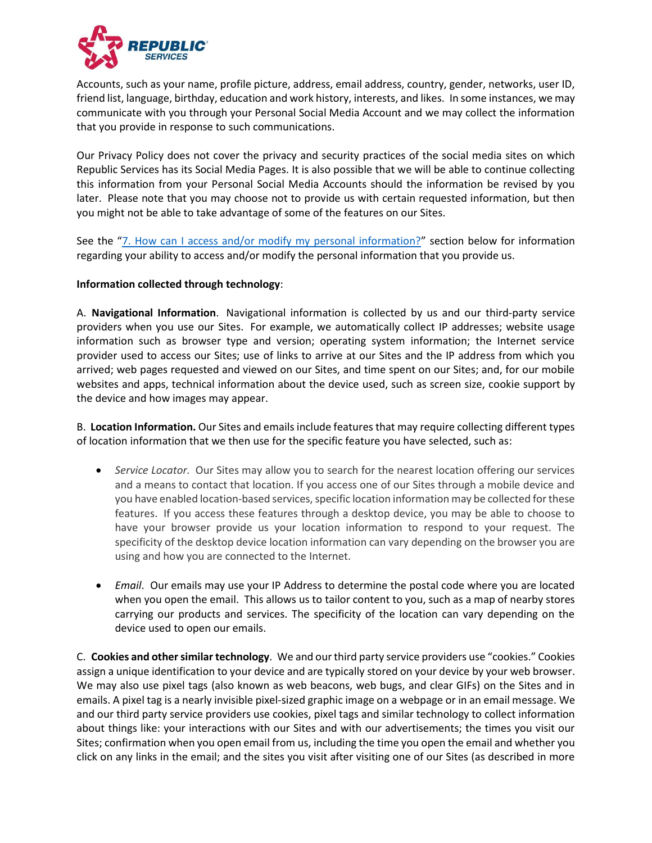

Accounts, such as your name, profile picture, address, email address, country, gender, networks, user ID, friend list, language, birthday, education and work history, interests, and likes. In some instances, we may communicate with you through your Personal Social Media Account and we may collect the information that you provide in response to such communications.

Our Privacy Policy does not cover the privacy and security practices of the social media sites on which Republic Services has its Social Media Pages. It is also possible that we will be able to continue collecting this information from your Personal Social Media Accounts should the information be revised by you later. Please note that you may choose not to provide us with certain requested information, but then you might not be able to take advantage of some of the features on our Sites.

See the "[7. How can I access and/or modify my personal information?](#page-5-1)" section below for information regarding your ability to access and/or modify the personal information that you provide us.

#### **Information collected through technology**:

A. **Navigational Information**. Navigational information is collected by us and our third-party service providers when you use our Sites. For example, we automatically collect IP addresses; website usage information such as browser type and version; operating system information; the Internet service provider used to access our Sites; use of links to arrive at our Sites and the IP address from which you arrived; web pages requested and viewed on our Sites, and time spent on our Sites; and, for our mobile websites and apps, technical information about the device used, such as screen size, cookie support by the device and how images may appear.

B. **Location Information.** Our Sites and emails include features that may require collecting different types of location information that we then use for the specific feature you have selected, such as:

- *Service Locator.* Our Sites may allow you to search for the nearest location offering our services and a means to contact that location. If you access one of our Sites through a mobile device and you have enabled location-based services, specific location information may be collected for these features. If you access these features through a desktop device, you may be able to choose to have your browser provide us your location information to respond to your request. The specificity of the desktop device location information can vary depending on the browser you are using and how you are connected to the Internet.
- *Email*. Our emails may use your IP Address to determine the postal code where you are located when you open the email. This allows us to tailor content to you, such as a map of nearby stores carrying our products and services. The specificity of the location can vary depending on the device used to open our emails.

C. **Cookies and other similar technology**. We and our third party service providers use "cookies." Cookies assign a unique identification to your device and are typically stored on your device by your web browser. We may also use pixel tags (also known as web beacons, web bugs, and clear GIFs) on the Sites and in emails. A pixel tag is a nearly invisible pixel-sized graphic image on a webpage or in an email message. We and our third party service providers use cookies, pixel tags and similar technology to collect information about things like: your interactions with our Sites and with our advertisements; the times you visit our Sites; confirmation when you open email from us, including the time you open the email and whether you click on any links in the email; and the sites you visit after visiting one of our Sites (as described in more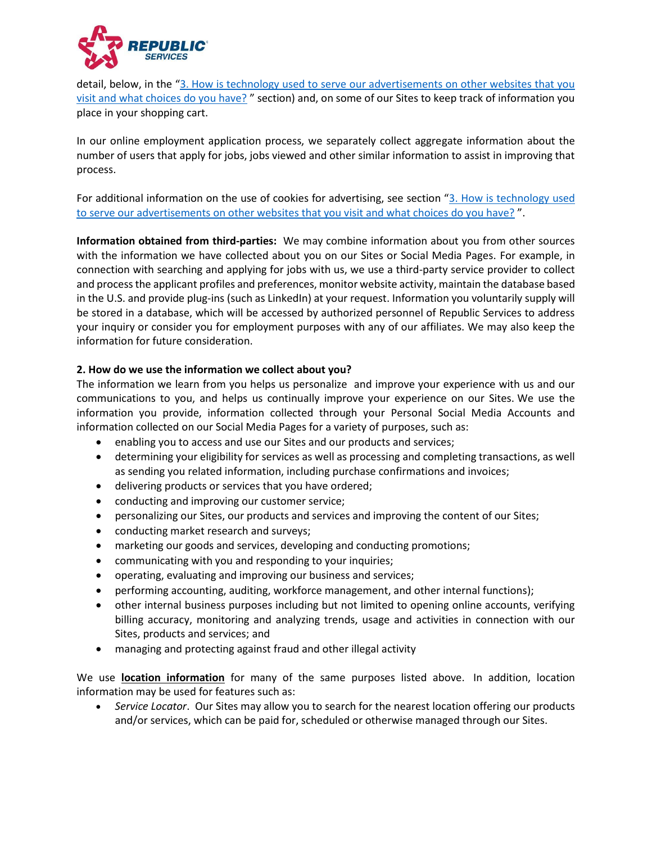

detail, below, in the "3. How is technology used to serve [our advertisements on other websites that you](#page-3-0)  [visit and what choices do you have?](#page-3-0) " section) and, on some of our Sites to keep track of information you place in your shopping cart.

In our online employment application process, we separately collect aggregate information about the number of users that apply for jobs, jobs viewed and other similar information to assist in improving that process.

For additional information on the use of cookies for advertising, see section "3. How is technology used [to serve our advertisements on other websites that you visit and what choices do you have?](#page-3-0) ".

**Information obtained from third-parties:** We may combine information about you from other sources with the information we have collected about you on our Sites or Social Media Pages. For example, in connection with searching and applying for jobs with us, we use a third-party service provider to collect and process the applicant profiles and preferences, monitor website activity, maintain the database based in the U.S. and provide plug-ins (such as LinkedIn) at your request. Information you voluntarily supply will be stored in a database, which will be accessed by authorized personnel of Republic Services to address your inquiry or consider you for employment purposes with any of our affiliates. We may also keep the information for future consideration.

#### <span id="page-2-0"></span>**2. How do we use the information we collect about you?**

The information we learn from you helps us personalize and improve your experience with us and our communications to you, and helps us continually improve your experience on our Sites. We use the information you provide, information collected through your Personal Social Media Accounts and information collected on our Social Media Pages for a variety of purposes, such as:

- enabling you to access and use our Sites and our products and services;
- determining your eligibility for services as well as processing and completing transactions, as well as sending you related information, including purchase confirmations and invoices;
- delivering products or services that you have ordered;
- conducting and improving our customer service;
- personalizing our Sites, our products and services and improving the content of our Sites;
- conducting market research and surveys;
- marketing our goods and services, developing and conducting promotions;
- communicating with you and responding to your inquiries;
- operating, evaluating and improving our business and services;
- performing accounting, auditing, workforce management, and other internal functions);
- other internal business purposes including but not limited to opening online accounts, verifying billing accuracy, monitoring and analyzing trends, usage and activities in connection with our Sites, products and services; and
- managing and protecting against fraud and other illegal activity

We use **location information** for many of the same purposes listed above. In addition, location information may be used for features such as:

• *Service Locator*. Our Sites may allow you to search for the nearest location offering our products and/or services, which can be paid for, scheduled or otherwise managed through our Sites.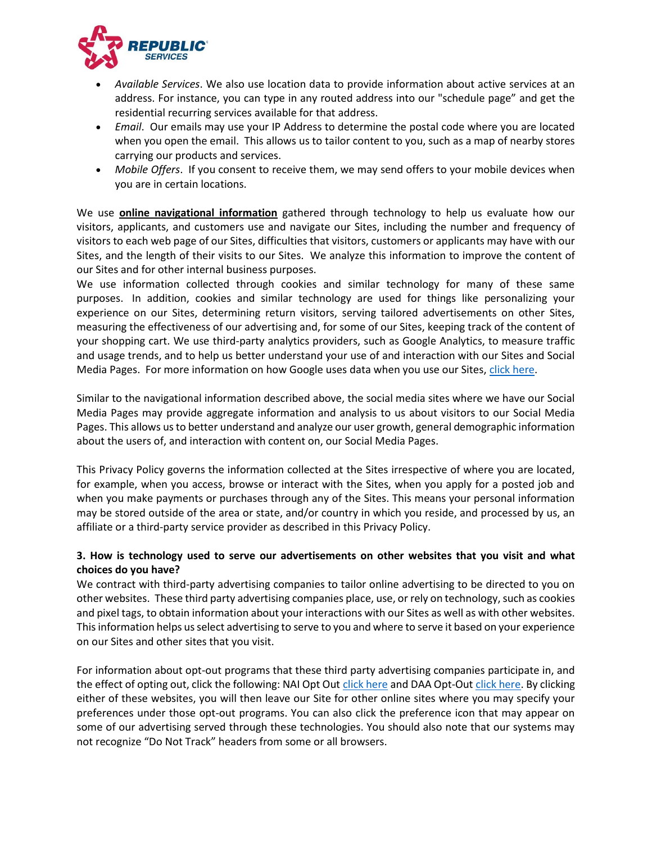

- *Available Services*. We also use location data to provide information about active services at an address. For instance, you can type in any routed address into our "schedule page" and get the residential recurring services available for that address.
- *Email*. Our emails may use your IP Address to determine the postal code where you are located when you open the email. This allows us to tailor content to you, such as a map of nearby stores carrying our products and services.
- *Mobile Offers*. If you consent to receive them, we may send offers to your mobile devices when you are in certain locations.

We use **online navigational information** gathered through technology to help us evaluate how our visitors, applicants, and customers use and navigate our Sites, including the number and frequency of visitors to each web page of our Sites, difficulties that visitors, customers or applicants may have with our Sites, and the length of their visits to our Sites. We analyze this information to improve the content of our Sites and for other internal business purposes.

We use information collected through cookies and similar technology for many of these same purposes. In addition, cookies and similar technology are used for things like personalizing your experience on our Sites, determining return visitors, serving tailored advertisements on other Sites, measuring the effectiveness of our advertising and, for some of our Sites, keeping track of the content of your shopping cart. We use third-party analytics providers, such as Google Analytics, to measure traffic and usage trends, and to help us better understand your use of and interaction with our Sites and Social Media Pages. For more information on how Google uses data when you use our Sites, [click here.](http://www.google.com/policies/privacy/partners/)

Similar to the navigational information described above, the social media sites where we have our Social Media Pages may provide aggregate information and analysis to us about visitors to our Social Media Pages. This allows us to better understand and analyze our user growth, general demographic information about the users of, and interaction with content on, our Social Media Pages.

This Privacy Policy governs the information collected at the Sites irrespective of where you are located, for example, when you access, browse or interact with the Sites, when you apply for a posted job and when you make payments or purchases through any of the Sites. This means your personal information may be stored outside of the area or state, and/or country in which you reside, and processed by us, an affiliate or a third-party service provider as described in this Privacy Policy.

## <span id="page-3-0"></span>**3. How is technology used to serve our advertisements on other websites that you visit and what choices do you have?**

We contract with third-party advertising companies to tailor online advertising to be directed to you on other websites. These third party advertising companies place, use, or rely on technology, such as cookies and pixel tags, to obtain information about your interactions with our Sites as well as with other websites. This information helps us select advertising to serve to you and where to serve it based on your experience on our Sites and other sites that you visit.

For information about opt-out programs that these third party advertising companies participate in, and the effect of opting out, click the following: NAI Opt Out [click here](http://www.networkadvertising.org/choices/) and DAA Opt-Out [click here.](http://www.aboutads.info/choices/) By clicking either of these websites, you will then leave our Site for other online sites where you may specify your preferences under those opt-out programs. You can also click the preference icon that may appear on some of our advertising served through these technologies. You should also note that our systems may not recognize "Do Not Track" headers from some or all browsers.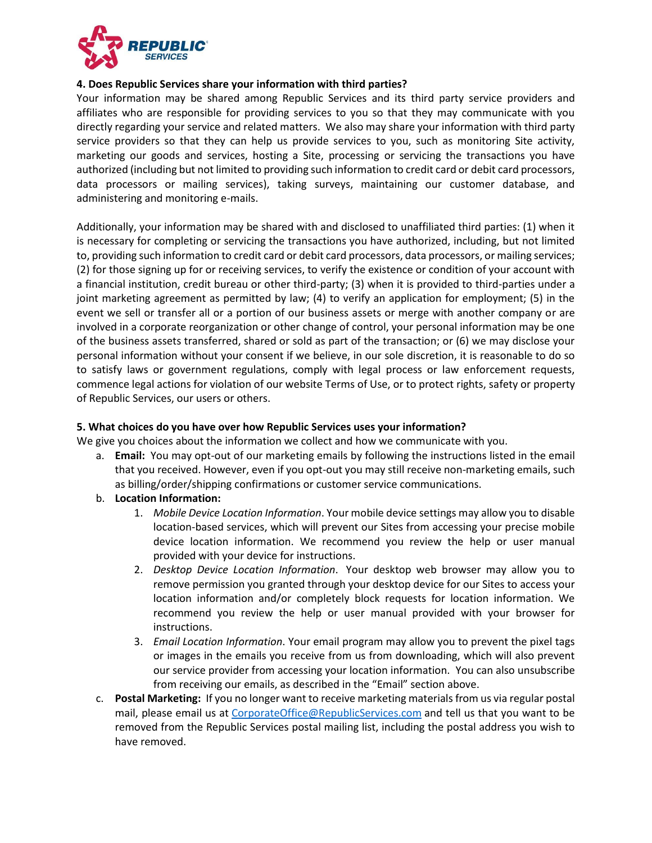

#### <span id="page-4-0"></span>**4. Does Republic Services share your information with third parties?**

Your information may be shared among Republic Services and its third party service providers and affiliates who are responsible for providing services to you so that they may communicate with you directly regarding your service and related matters. We also may share your information with third party service providers so that they can help us provide services to you, such as monitoring Site activity, marketing our goods and services, hosting a Site, processing or servicing the transactions you have authorized (including but not limited to providing such information to credit card or debit card processors, data processors or mailing services), taking surveys, maintaining our customer database, and administering and monitoring e-mails.

Additionally, your information may be shared with and disclosed to unaffiliated third parties: (1) when it is necessary for completing or servicing the transactions you have authorized, including, but not limited to, providing such information to credit card or debit card processors, data processors, or mailing services; (2) for those signing up for or receiving services, to verify the existence or condition of your account with a financial institution, credit bureau or other third-party; (3) when it is provided to third-parties under a joint marketing agreement as permitted by law; (4) to verify an application for employment; (5) in the event we sell or transfer all or a portion of our business assets or merge with another company or are involved in a corporate reorganization or other change of control, your personal information may be one of the business assets transferred, shared or sold as part of the transaction; or (6) we may disclose your personal information without your consent if we believe, in our sole discretion, it is reasonable to do so to satisfy laws or government regulations, comply with legal process or law enforcement requests, commence legal actions for violation of our website Terms of Use, or to protect rights, safety or property of Republic Services, our users or others.

#### <span id="page-4-1"></span>**5. What choices do you have over how Republic Services uses your information?**

We give you choices about the information we collect and how we communicate with you.

- a. **Email:** You may opt-out of our marketing emails by following the instructions listed in the email that you received. However, even if you opt-out you may still receive non-marketing emails, such as billing/order/shipping confirmations or customer service communications.
- b. **Location Information:**
	- 1. *Mobile Device Location Information*. Your mobile device settings may allow you to disable location-based services, which will prevent our Sites from accessing your precise mobile device location information. We recommend you review the help or user manual provided with your device for instructions.
	- 2. *Desktop Device Location Information*. Your desktop web browser may allow you to remove permission you granted through your desktop device for our Sites to access your location information and/or completely block requests for location information. We recommend you review the help or user manual provided with your browser for instructions.
	- 3. *Email Location Information*. Your email program may allow you to prevent the pixel tags or images in the emails you receive from us from downloading, which will also prevent our service provider from accessing your location information. You can also unsubscribe from receiving our emails, as described in the "Email" section above.
- c. **Postal Marketing:** If you no longer want to receive marketing materials from us via regular postal mail, please email us at [CorporateOffice@RepublicServices.com](mailto:CorporateOffice@RepublicServices.com) and tell us that you want to be removed from the Republic Services postal mailing list, including the postal address you wish to have removed.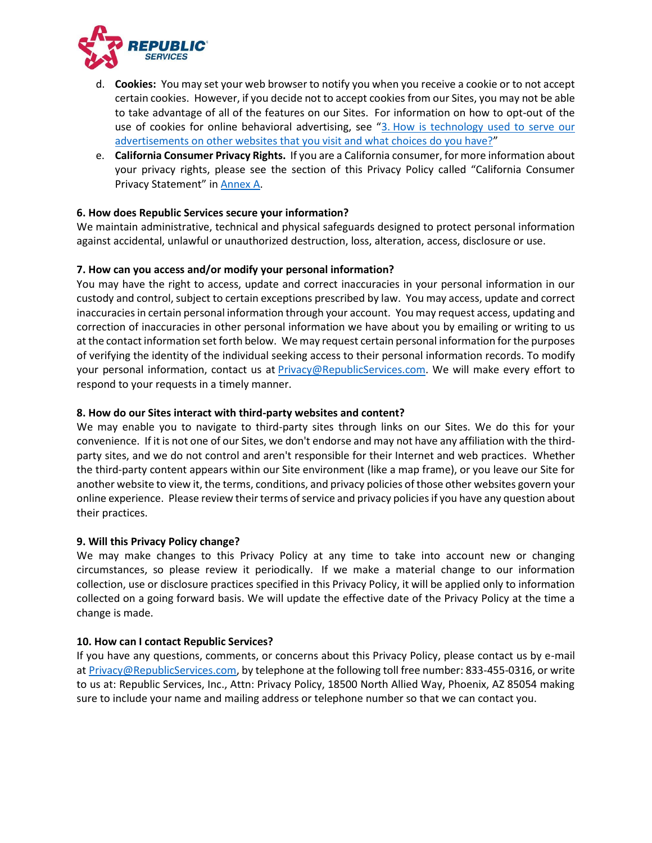

- d. **Cookies:** You may set your web browser to notify you when you receive a cookie or to not accept certain cookies. However, if you decide not to accept cookies from our Sites, you may not be able to take advantage of all of the features on our Sites. For information on how to opt-out of the use of cookies for online behavioral advertising, see "3. How is technology used to serve our [advertisements on other websites that you visit and what choices do you have?](#page-3-0)"
- e. **California Consumer Privacy Rights.** If you are a California consumer, for more information about your privacy rights, please see the section of this Privacy Policy called "California Consumer Privacy Statement" in [Annex A.](#page-6-0)

## <span id="page-5-0"></span>**6. How does Republic Services secure your information?**

We maintain administrative, technical and physical safeguards designed to protect personal information against accidental, unlawful or unauthorized destruction, loss, alteration, access, disclosure or use.

#### <span id="page-5-1"></span>**7. How can you access and/or modify your personal information?**

You may have the right to access, update and correct inaccuracies in your personal information in our custody and control, subject to certain exceptions prescribed by law. You may access, update and correct inaccuracies in certain personal information through your account. You may request access, updating and correction of inaccuracies in other personal information we have about you by emailing or writing to us at the contact information set forth below. We may request certain personal information for the purposes of verifying the identity of the individual seeking access to their personal information records. To modify your personal information, contact us at [Privacy@RepublicServices.com.](mailto:Privacy@RepublicServices.com) We will make every effort to respond to your requests in a timely manner.

#### <span id="page-5-2"></span>**8. How do our Sites interact with third-party websites and content?**

We may enable you to navigate to third-party sites through links on our Sites. We do this for your convenience. If it is not one of our Sites, we don't endorse and may not have any affiliation with the thirdparty sites, and we do not control and aren't responsible for their Internet and web practices. Whether the third-party content appears within our Site environment (like a map frame), or you leave our Site for another website to view it, the terms, conditions, and privacy policies of those other websites govern your online experience. Please review their terms of service and privacy policies if you have any question about their practices.

#### <span id="page-5-3"></span>**9. Will this Privacy Policy change?**

We may make changes to this Privacy Policy at any time to take into account new or changing circumstances, so please review it periodically. If we make a material change to our information collection, use or disclosure practices specified in this Privacy Policy, it will be applied only to information collected on a going forward basis. We will update the effective date of the Privacy Policy at the time a change is made.

#### <span id="page-5-4"></span>**10. How can I contact Republic Services?**

If you have any questions, comments, or concerns about this Privacy Policy, please contact us by e-mail at [Privacy@RepublicServices.com,](mailto:Privacy@RepublicServices.com) by telephone at the following toll free number: 833-455-0316, or write to us at: Republic Services, Inc., Attn: Privacy Policy, 18500 North Allied Way, Phoenix, AZ 85054 making sure to include your name and mailing address or telephone number so that we can contact you.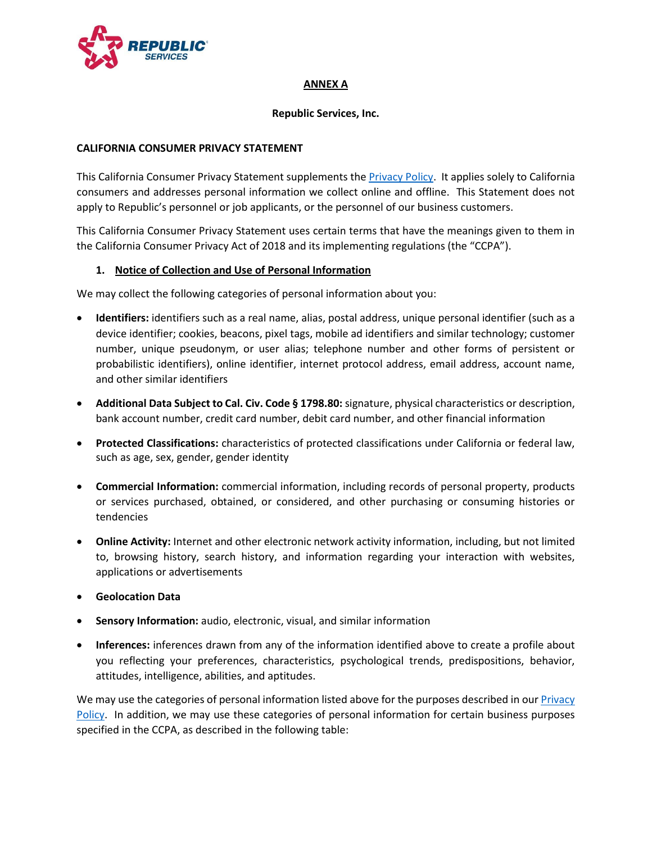

#### **ANNEX A**

#### **Republic Services, Inc.**

#### <span id="page-6-0"></span>**CALIFORNIA CONSUMER PRIVACY STATEMENT**

This California Consumer Privacy Statement supplements th[e Privacy](#page-0-1) Policy. It applies solely to California consumers and addresses personal information we collect online and offline. This Statement does not apply to Republic's personnel or job applicants, or the personnel of our business customers.

This California Consumer Privacy Statement uses certain terms that have the meanings given to them in the California Consumer Privacy Act of 2018 and its implementing regulations (the "CCPA").

#### **1. Notice of Collection and Use of Personal Information**

We may collect the following categories of personal information about you:

- **Identifiers:** identifiers such as a real name, alias, postal address, unique personal identifier (such as a device identifier; cookies, beacons, pixel tags, mobile ad identifiers and similar technology; customer number, unique pseudonym, or user alias; telephone number and other forms of persistent or probabilistic identifiers), online identifier, internet protocol address, email address, account name, and other similar identifiers
- **Additional Data Subject to Cal. Civ. Code § 1798.80:** signature, physical characteristics or description, bank account number, credit card number, debit card number, and other financial information
- **Protected Classifications:** characteristics of protected classifications under California or federal law, such as age, sex, gender, gender identity
- **Commercial Information:** commercial information, including records of personal property, products or services purchased, obtained, or considered, and other purchasing or consuming histories or tendencies
- **Online Activity:** Internet and other electronic network activity information, including, but not limited to, browsing history, search history, and information regarding your interaction with websites, applications or advertisements
- **Geolocation Data**
- **Sensory Information:** audio, electronic, visual, and similar information
- **Inferences:** inferences drawn from any of the information identified above to create a profile about you reflecting your preferences, characteristics, psychological trends, predispositions, behavior, attitudes, intelligence, abilities, and aptitudes.

We may use the categories of personal information listed above for the purposes described in our Privacy [Policy.](#page-0-1) In addition, we may use these categories of personal information for certain business purposes specified in the CCPA, as described in the following table: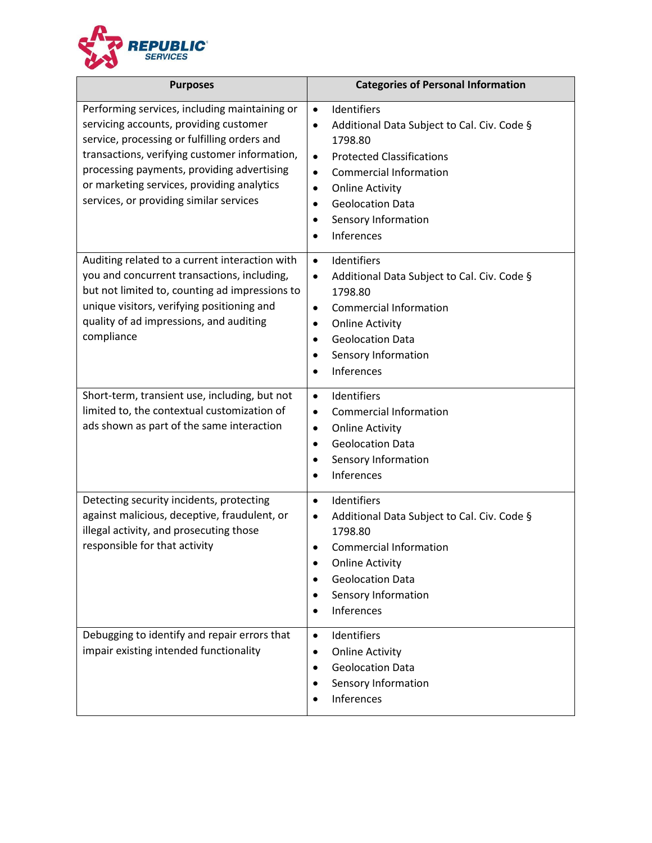

| <b>Purposes</b>                                                                                                                                                                                                                                                                                                                 | <b>Categories of Personal Information</b>                                                                                                                                                                                                                                                                               |
|---------------------------------------------------------------------------------------------------------------------------------------------------------------------------------------------------------------------------------------------------------------------------------------------------------------------------------|-------------------------------------------------------------------------------------------------------------------------------------------------------------------------------------------------------------------------------------------------------------------------------------------------------------------------|
| Performing services, including maintaining or<br>servicing accounts, providing customer<br>service, processing or fulfilling orders and<br>transactions, verifying customer information,<br>processing payments, providing advertising<br>or marketing services, providing analytics<br>services, or providing similar services | Identifiers<br>$\bullet$<br>Additional Data Subject to Cal. Civ. Code §<br>$\bullet$<br>1798.80<br><b>Protected Classifications</b><br>$\bullet$<br><b>Commercial Information</b><br>$\bullet$<br><b>Online Activity</b><br>$\bullet$<br><b>Geolocation Data</b><br>$\bullet$<br>Sensory Information<br>٠<br>Inferences |
| Auditing related to a current interaction with<br>you and concurrent transactions, including,<br>but not limited to, counting ad impressions to<br>unique visitors, verifying positioning and<br>quality of ad impressions, and auditing<br>compliance                                                                          | Identifiers<br>$\bullet$<br>Additional Data Subject to Cal. Civ. Code §<br>$\bullet$<br>1798.80<br><b>Commercial Information</b><br>$\bullet$<br><b>Online Activity</b><br>٠<br><b>Geolocation Data</b><br>$\bullet$<br>Sensory Information<br>$\bullet$<br>Inferences                                                  |
| Short-term, transient use, including, but not<br>limited to, the contextual customization of<br>ads shown as part of the same interaction                                                                                                                                                                                       | Identifiers<br>$\bullet$<br><b>Commercial Information</b><br>$\bullet$<br><b>Online Activity</b><br>$\bullet$<br><b>Geolocation Data</b><br>$\bullet$<br>Sensory Information<br>٠<br>Inferences<br>٠                                                                                                                    |
| Detecting security incidents, protecting<br>against malicious, deceptive, fraudulent, or<br>illegal activity, and prosecuting those<br>responsible for that activity                                                                                                                                                            | Identifiers<br>$\bullet$<br>Additional Data Subject to Cal. Civ. Code §<br>٠<br>1798.80<br><b>Commercial Information</b><br>٠<br><b>Online Activity</b><br><b>Geolocation Data</b><br>Sensory Information<br>Inferences                                                                                                 |
| Debugging to identify and repair errors that<br>impair existing intended functionality                                                                                                                                                                                                                                          | Identifiers<br>$\bullet$<br><b>Online Activity</b><br>$\bullet$<br><b>Geolocation Data</b><br>٠<br>Sensory Information<br>Inferences                                                                                                                                                                                    |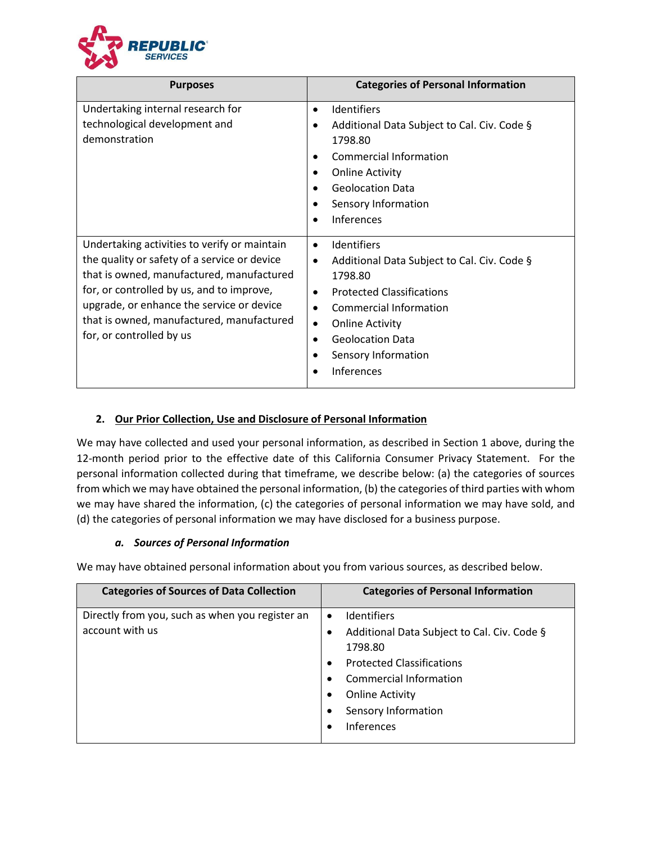

| <b>Purposes</b>                                                                                                                                                                                                                                                                                              | <b>Categories of Personal Information</b>                                                                                                                                                                                                                                                     |
|--------------------------------------------------------------------------------------------------------------------------------------------------------------------------------------------------------------------------------------------------------------------------------------------------------------|-----------------------------------------------------------------------------------------------------------------------------------------------------------------------------------------------------------------------------------------------------------------------------------------------|
| Undertaking internal research for<br>technological development and<br>demonstration                                                                                                                                                                                                                          | <b>Identifiers</b><br>Additional Data Subject to Cal. Civ. Code §<br>1798.80<br><b>Commercial Information</b><br><b>Online Activity</b><br><b>Geolocation Data</b><br>Sensory Information<br><b>Inferences</b>                                                                                |
| Undertaking activities to verify or maintain<br>the quality or safety of a service or device<br>that is owned, manufactured, manufactured<br>for, or controlled by us, and to improve,<br>upgrade, or enhance the service or device<br>that is owned, manufactured, manufactured<br>for, or controlled by us | <b>Identifiers</b><br>$\bullet$<br>Additional Data Subject to Cal. Civ. Code §<br>$\bullet$<br>1798.80<br><b>Protected Classifications</b><br>$\bullet$<br>Commercial Information<br>$\bullet$<br><b>Online Activity</b><br>٠<br><b>Geolocation Data</b><br>Sensory Information<br>Inferences |

# **2. Our Prior Collection, Use and Disclosure of Personal Information**

We may have collected and used your personal information, as described in Section 1 above, during the 12-month period prior to the effective date of this California Consumer Privacy Statement. For the personal information collected during that timeframe, we describe below: (a) the categories of sources from which we may have obtained the personal information, (b) the categories of third parties with whom we may have shared the information, (c) the categories of personal information we may have sold, and (d) the categories of personal information we may have disclosed for a business purpose.

## *a. Sources of Personal Information*

We may have obtained personal information about you from various sources, as described below.

| <b>Categories of Sources of Data Collection</b>                    | <b>Categories of Personal Information</b>                                                                                                                                                                                                              |
|--------------------------------------------------------------------|--------------------------------------------------------------------------------------------------------------------------------------------------------------------------------------------------------------------------------------------------------|
| Directly from you, such as when you register an<br>account with us | <b>Identifiers</b><br>$\bullet$<br>Additional Data Subject to Cal. Civ. Code §<br>٠<br>1798.80<br><b>Protected Classifications</b><br>$\bullet$<br><b>Commercial Information</b><br><b>Online Activity</b><br>Sensory Information<br><b>Inferences</b> |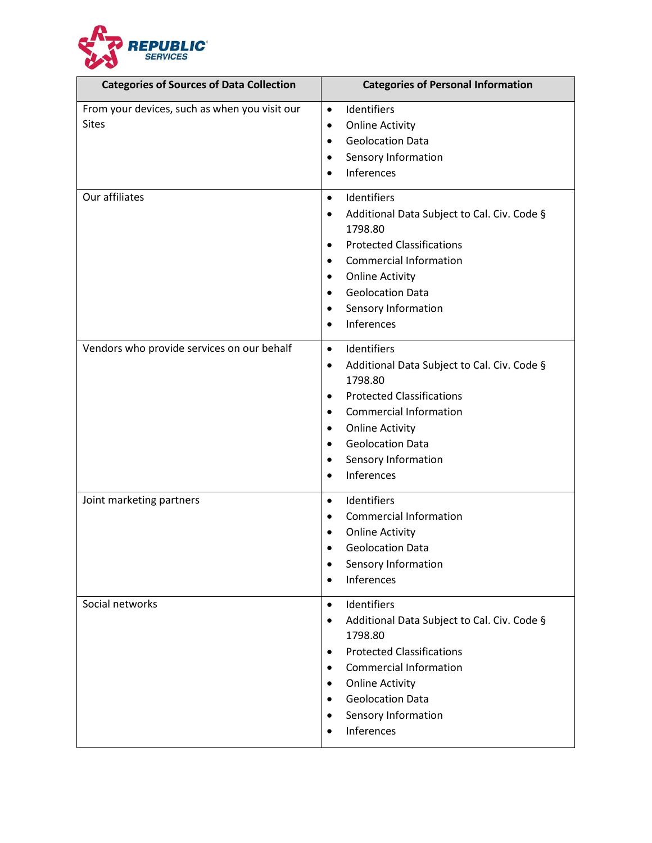

| <b>Categories of Sources of Data Collection</b>               | <b>Categories of Personal Information</b>                                                                                                                                                                                                                                                               |
|---------------------------------------------------------------|---------------------------------------------------------------------------------------------------------------------------------------------------------------------------------------------------------------------------------------------------------------------------------------------------------|
| From your devices, such as when you visit our<br><b>Sites</b> | Identifiers<br>$\bullet$<br><b>Online Activity</b><br>٠<br><b>Geolocation Data</b><br>٠<br>Sensory Information<br>٠<br>Inferences<br>$\bullet$                                                                                                                                                          |
| Our affiliates                                                | Identifiers<br>$\bullet$<br>Additional Data Subject to Cal. Civ. Code §<br>1798.80<br><b>Protected Classifications</b><br>$\bullet$<br><b>Commercial Information</b><br>$\bullet$<br><b>Online Activity</b><br>٠<br><b>Geolocation Data</b><br>٠<br>Sensory Information<br>٠<br>Inferences<br>$\bullet$ |
| Vendors who provide services on our behalf                    | Identifiers<br>$\bullet$<br>Additional Data Subject to Cal. Civ. Code §<br>٠<br>1798.80<br><b>Protected Classifications</b><br>$\bullet$<br><b>Commercial Information</b><br><b>Online Activity</b><br>٠<br><b>Geolocation Data</b><br>$\bullet$<br>Sensory Information<br>٠<br>Inferences              |
| Joint marketing partners                                      | Identifiers<br>$\bullet$<br><b>Commercial Information</b><br>$\bullet$<br><b>Online Activity</b><br><b>Geolocation Data</b><br>Sensory Information<br>Inferences                                                                                                                                        |
| Social networks                                               | Identifiers<br>$\bullet$<br>Additional Data Subject to Cal. Civ. Code §<br>$\bullet$<br>1798.80<br><b>Protected Classifications</b><br>٠<br><b>Commercial Information</b><br><b>Online Activity</b><br>٠<br><b>Geolocation Data</b><br>Sensory Information<br>Inferences                                |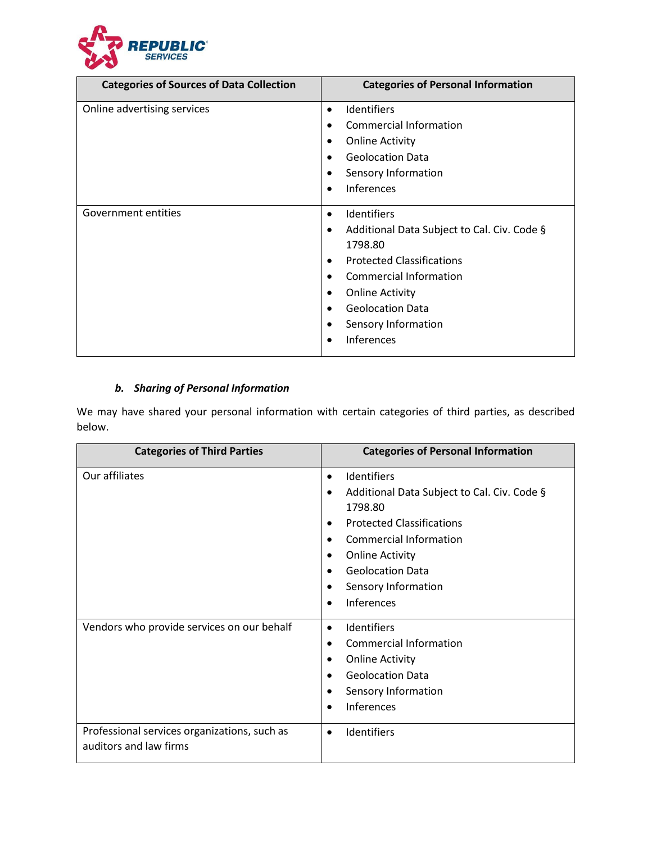

| <b>Categories of Sources of Data Collection</b> | <b>Categories of Personal Information</b>                                                                                                                                                                                                                                       |
|-------------------------------------------------|---------------------------------------------------------------------------------------------------------------------------------------------------------------------------------------------------------------------------------------------------------------------------------|
| Online advertising services                     | <b>Identifiers</b><br>$\bullet$<br>Commercial Information<br><b>Online Activity</b><br><b>Geolocation Data</b><br>Sensory Information<br><b>Inferences</b>                                                                                                                      |
| Government entities                             | <b>Identifiers</b><br>$\bullet$<br>Additional Data Subject to Cal. Civ. Code §<br>٠<br>1798.80<br><b>Protected Classifications</b><br>Commercial Information<br><b>Online Activity</b><br>٠<br><b>Geolocation Data</b><br>$\bullet$<br>Sensory Information<br><b>Inferences</b> |

# *b. Sharing of Personal Information*

We may have shared your personal information with certain categories of third parties, as described below.

| <b>Categories of Third Parties</b>                                     | <b>Categories of Personal Information</b>                                                                                                                                                                                                                                                    |
|------------------------------------------------------------------------|----------------------------------------------------------------------------------------------------------------------------------------------------------------------------------------------------------------------------------------------------------------------------------------------|
| Our affiliates                                                         | Identifiers<br>$\bullet$<br>Additional Data Subject to Cal. Civ. Code §<br>$\bullet$<br>1798.80<br><b>Protected Classifications</b><br>٠<br><b>Commercial Information</b><br><b>Online Activity</b><br>٠<br><b>Geolocation Data</b><br>Sensory Information<br><b>Inferences</b><br>$\bullet$ |
| Vendors who provide services on our behalf                             | Identifiers<br>$\bullet$<br>Commercial Information<br><b>Online Activity</b><br>٠<br><b>Geolocation Data</b><br>$\bullet$<br>Sensory Information<br>Inferences<br>$\bullet$                                                                                                                  |
| Professional services organizations, such as<br>auditors and law firms | Identifiers<br>$\bullet$                                                                                                                                                                                                                                                                     |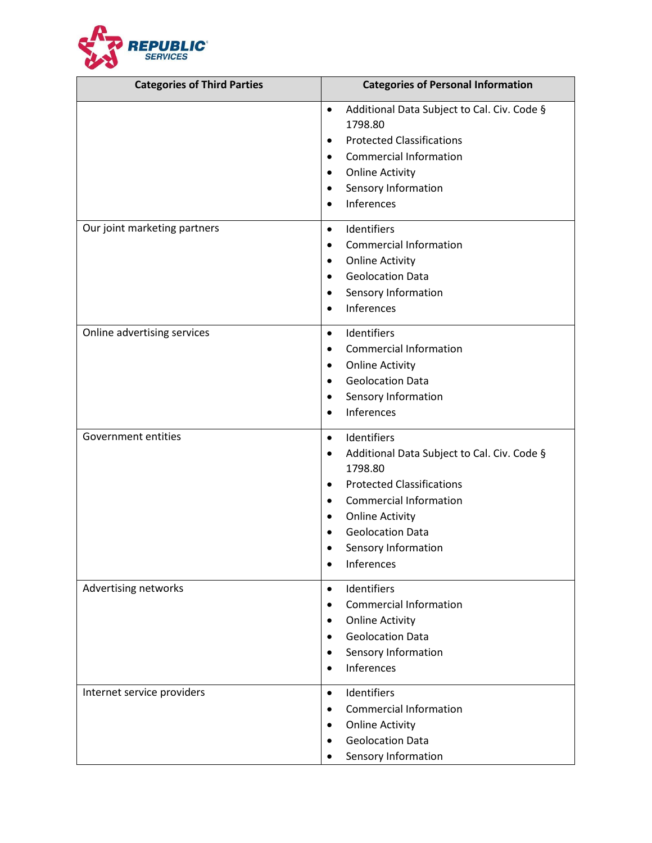

| <b>Categories of Third Parties</b> | <b>Categories of Personal Information</b>                                                                                                                                                                                                                                                  |
|------------------------------------|--------------------------------------------------------------------------------------------------------------------------------------------------------------------------------------------------------------------------------------------------------------------------------------------|
|                                    | Additional Data Subject to Cal. Civ. Code §<br>$\bullet$<br>1798.80<br><b>Protected Classifications</b><br>٠<br><b>Commercial Information</b><br>٠<br><b>Online Activity</b><br>٠<br>Sensory Information<br>$\bullet$<br><b>Inferences</b><br>$\bullet$                                    |
| Our joint marketing partners       | Identifiers<br>٠<br><b>Commercial Information</b><br>٠<br><b>Online Activity</b><br>٠<br><b>Geolocation Data</b><br>٠<br>Sensory Information<br>٠<br><b>Inferences</b>                                                                                                                     |
| Online advertising services        | Identifiers<br>$\bullet$<br><b>Commercial Information</b><br>٠<br><b>Online Activity</b><br>٠<br><b>Geolocation Data</b><br>٠<br>Sensory Information<br>$\bullet$<br>Inferences                                                                                                            |
| Government entities                | Identifiers<br>$\bullet$<br>Additional Data Subject to Cal. Civ. Code §<br>٠<br>1798.80<br><b>Protected Classifications</b><br>٠<br><b>Commercial Information</b><br>٠<br><b>Online Activity</b><br>$\bullet$<br><b>Geolocation Data</b><br>Sensory Information<br>Inferences<br>$\bullet$ |
| Advertising networks               | Identifiers<br>$\bullet$<br><b>Commercial Information</b><br><b>Online Activity</b><br>٠<br><b>Geolocation Data</b><br>Sensory Information<br>٠<br>Inferences                                                                                                                              |
| Internet service providers         | Identifiers<br>$\bullet$<br><b>Commercial Information</b><br>$\bullet$<br><b>Online Activity</b><br>$\bullet$<br><b>Geolocation Data</b><br>$\bullet$<br>Sensory Information                                                                                                               |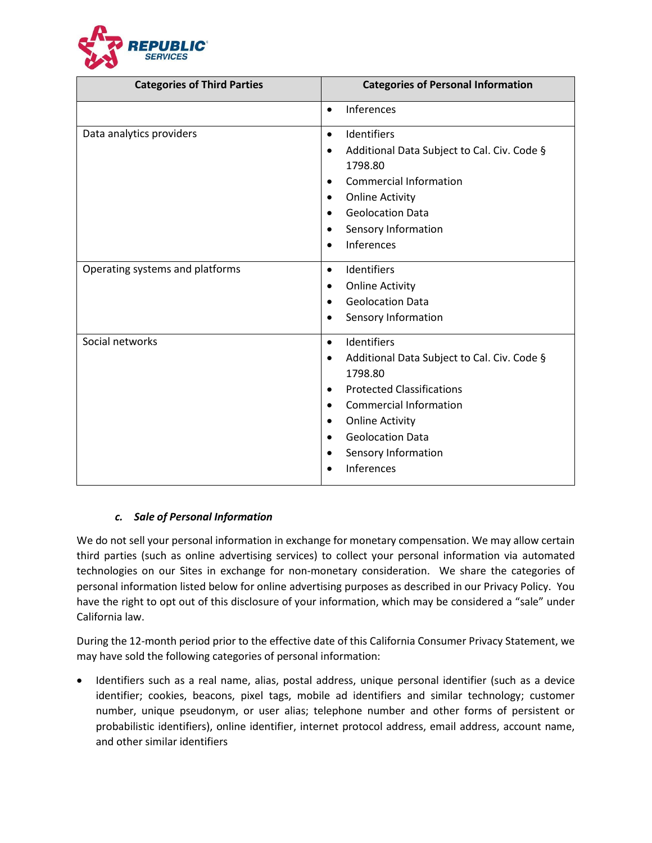

| <b>Categories of Third Parties</b> | <b>Categories of Personal Information</b>                                                                                                                                                                                                                                                               |
|------------------------------------|---------------------------------------------------------------------------------------------------------------------------------------------------------------------------------------------------------------------------------------------------------------------------------------------------------|
|                                    | Inferences<br>$\bullet$                                                                                                                                                                                                                                                                                 |
| Data analytics providers           | Identifiers<br>$\bullet$<br>Additional Data Subject to Cal. Civ. Code §<br>$\bullet$<br>1798.80<br><b>Commercial Information</b><br>٠<br><b>Online Activity</b><br><b>Geolocation Data</b><br>Sensory Information<br><b>Inferences</b>                                                                  |
| Operating systems and platforms    | Identifiers<br>$\bullet$<br><b>Online Activity</b><br>٠<br><b>Geolocation Data</b><br>$\bullet$<br>Sensory Information<br>٠                                                                                                                                                                             |
| Social networks                    | Identifiers<br>$\bullet$<br>Additional Data Subject to Cal. Civ. Code §<br>٠<br>1798.80<br><b>Protected Classifications</b><br>$\bullet$<br><b>Commercial Information</b><br>$\bullet$<br><b>Online Activity</b><br>٠<br><b>Geolocation Data</b><br>$\bullet$<br>Sensory Information<br>٠<br>Inferences |

## *c. Sale of Personal Information*

We do not sell your personal information in exchange for monetary compensation. We may allow certain third parties (such as online advertising services) to collect your personal information via automated technologies on our Sites in exchange for non-monetary consideration. We share the categories of personal information listed below for online advertising purposes as described in our Privacy Policy. You have the right to opt out of this disclosure of your information, which may be considered a "sale" under California law.

During the 12-month period prior to the effective date of this California Consumer Privacy Statement, we may have sold the following categories of personal information:

• Identifiers such as a real name, alias, postal address, unique personal identifier (such as a device identifier; cookies, beacons, pixel tags, mobile ad identifiers and similar technology; customer number, unique pseudonym, or user alias; telephone number and other forms of persistent or probabilistic identifiers), online identifier, internet protocol address, email address, account name, and other similar identifiers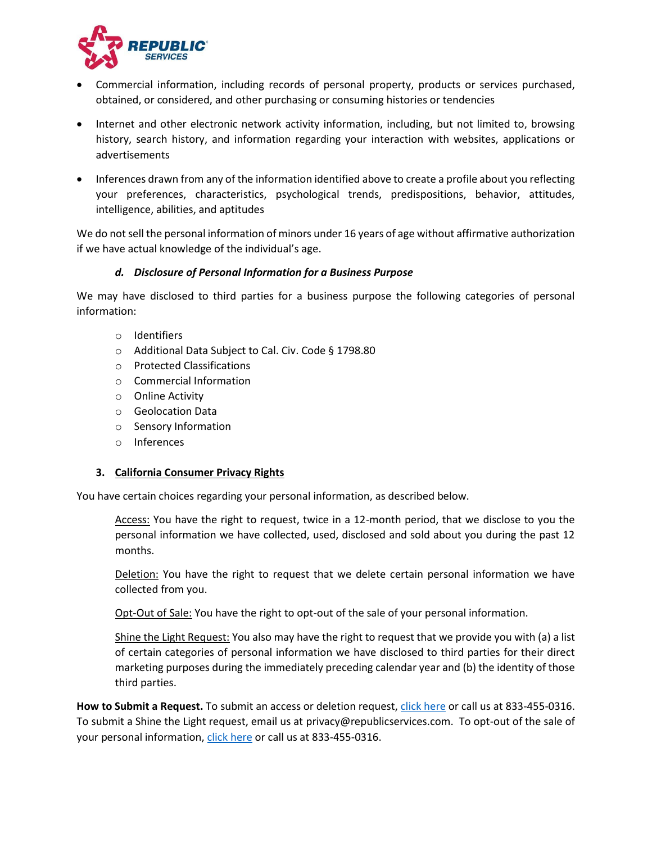

- Commercial information, including records of personal property, products or services purchased, obtained, or considered, and other purchasing or consuming histories or tendencies
- Internet and other electronic network activity information, including, but not limited to, browsing history, search history, and information regarding your interaction with websites, applications or advertisements
- Inferences drawn from any of the information identified above to create a profile about you reflecting your preferences, characteristics, psychological trends, predispositions, behavior, attitudes, intelligence, abilities, and aptitudes

We do not sell the personal information of minors under 16 years of age without affirmative authorization if we have actual knowledge of the individual's age.

## *d. Disclosure of Personal Information for a Business Purpose*

We may have disclosed to third parties for a business purpose the following categories of personal information:

- o Identifiers
- o Additional Data Subject to Cal. Civ. Code § 1798.80
- o Protected Classifications
- o Commercial Information
- o Online Activity
- o Geolocation Data
- o Sensory Information
- o Inferences

#### **3. California Consumer Privacy Rights**

You have certain choices regarding your personal information, as described below.

Access: You have the right to request, twice in a 12-month period, that we disclose to you the personal information we have collected, used, disclosed and sold about you during the past 12 months.

Deletion: You have the right to request that we delete certain personal information we have collected from you.

Opt-Out of Sale: You have the right to opt-out of the sale of your personal information.

Shine the Light Request: You also may have the right to request that we provide you with (a) a list of certain categories of personal information we have disclosed to third parties for their direct marketing purposes during the immediately preceding calendar year and (b) the identity of those third parties.

**How to Submit a Request.** To submit an access or deletion request, [click here](https://submit-irm.trustarc.com/services/validation/c3a84b1c-118e-414f-85a3-4a787bb97250) or call us at 833-455-0316. To submit a Shine the Light request, email us at privacy@republicservices.com. To opt-out of the sale of your personal information[, click here](https://submit-irm.trustarc.com/services/validation/c3a84b1c-118e-414f-85a3-4a787bb97250) or call us at 833-455-0316.